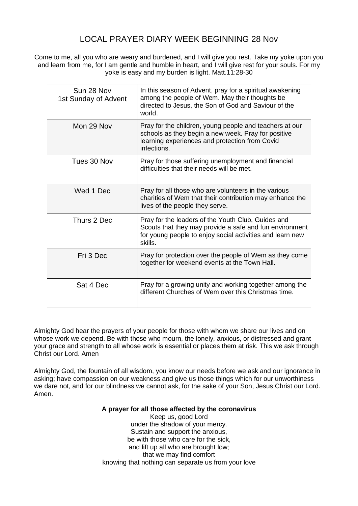## LOCAL PRAYER DIARY WEEK BEGINNING 28 Nov

Come to me, all you who are weary and burdened, and I will give you rest. Take my yoke upon you and learn from me, for I am gentle and humble in heart, and I will give rest for your souls. For my yoke is easy and my burden is light. Matt.11:28-30

| Sun 28 Nov<br>1st Sunday of Advent | In this season of Advent, pray for a spiritual awakening<br>among the people of Wem. May their thoughts be<br>directed to Jesus, the Son of God and Saviour of the<br>world.          |
|------------------------------------|---------------------------------------------------------------------------------------------------------------------------------------------------------------------------------------|
| Mon 29 Nov                         | Pray for the children, young people and teachers at our<br>schools as they begin a new week. Pray for positive<br>learning experiences and protection from Covid<br>infections.       |
| Tues 30 Nov                        | Pray for those suffering unemployment and financial<br>difficulties that their needs will be met.                                                                                     |
| Wed 1 Dec                          | Pray for all those who are volunteers in the various<br>charities of Wem that their contribution may enhance the<br>lives of the people they serve.                                   |
| Thurs 2 Dec                        | Pray for the leaders of the Youth Club, Guides and<br>Scouts that they may provide a safe and fun environment<br>for young people to enjoy social activities and learn new<br>skills. |
| Fri 3 Dec                          | Pray for protection over the people of Wem as they come<br>together for weekend events at the Town Hall.                                                                              |
| Sat 4 Dec                          | Pray for a growing unity and working together among the<br>different Churches of Wem over this Christmas time.                                                                        |

Almighty God hear the prayers of your people for those with whom we share our lives and on whose work we depend. Be with those who mourn, the lonely, anxious, or distressed and grant your grace and strength to all whose work is essential or places them at risk. This we ask through Christ our Lord. Amen

Almighty God, the fountain of all wisdom, you know our needs before we ask and our ignorance in asking; have compassion on our weakness and give us those things which for our unworthiness we dare not, and for our blindness we cannot ask, for the sake of your Son, Jesus Christ our Lord. Amen.

## **A prayer for all those affected by the coronavirus**

Keep us, good Lord under the shadow of your mercy. Sustain and support the anxious, be with those who care for the sick. and lift up all who are brought low; that we may find comfort knowing that nothing can separate us from your love